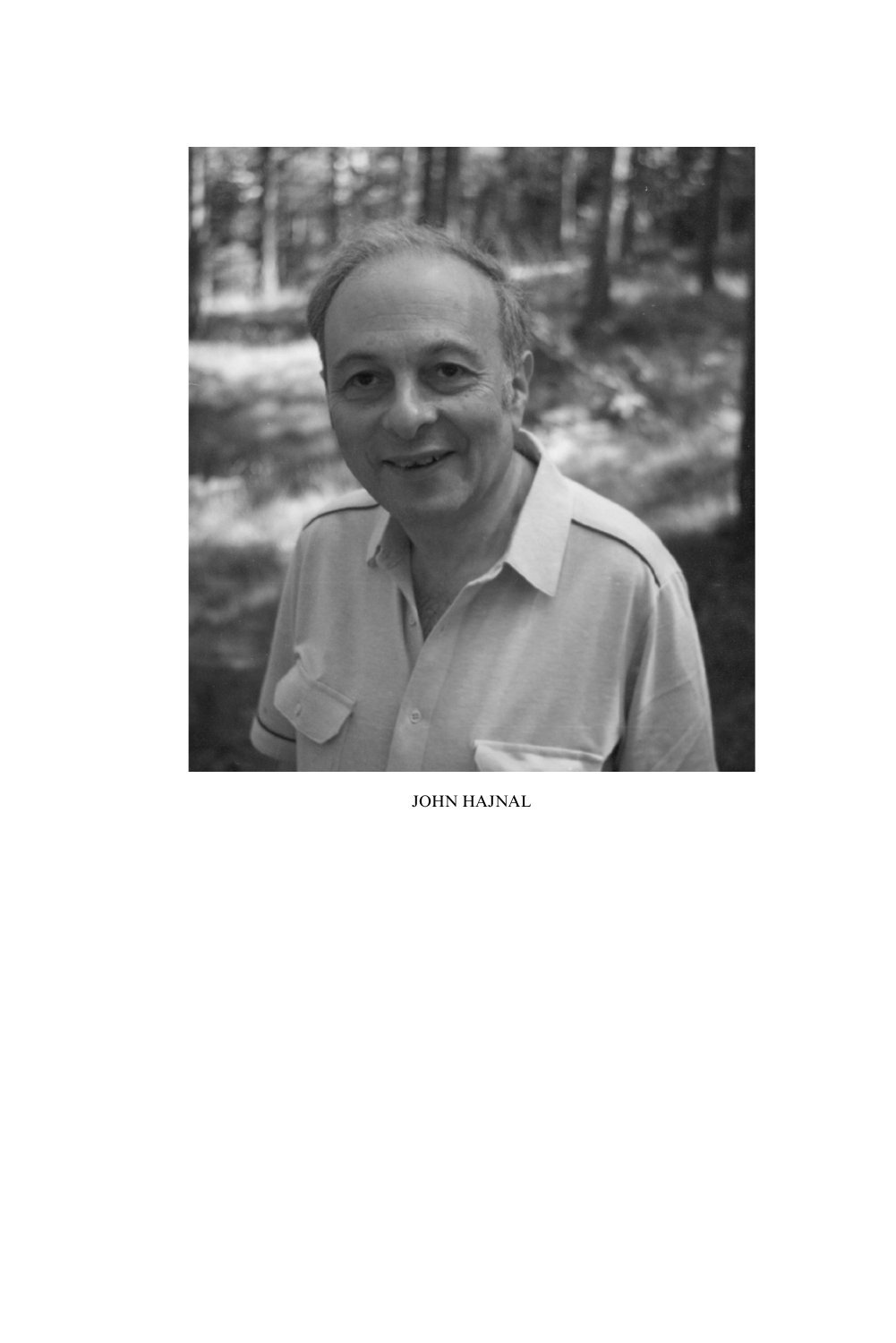

JOHN HAJNAL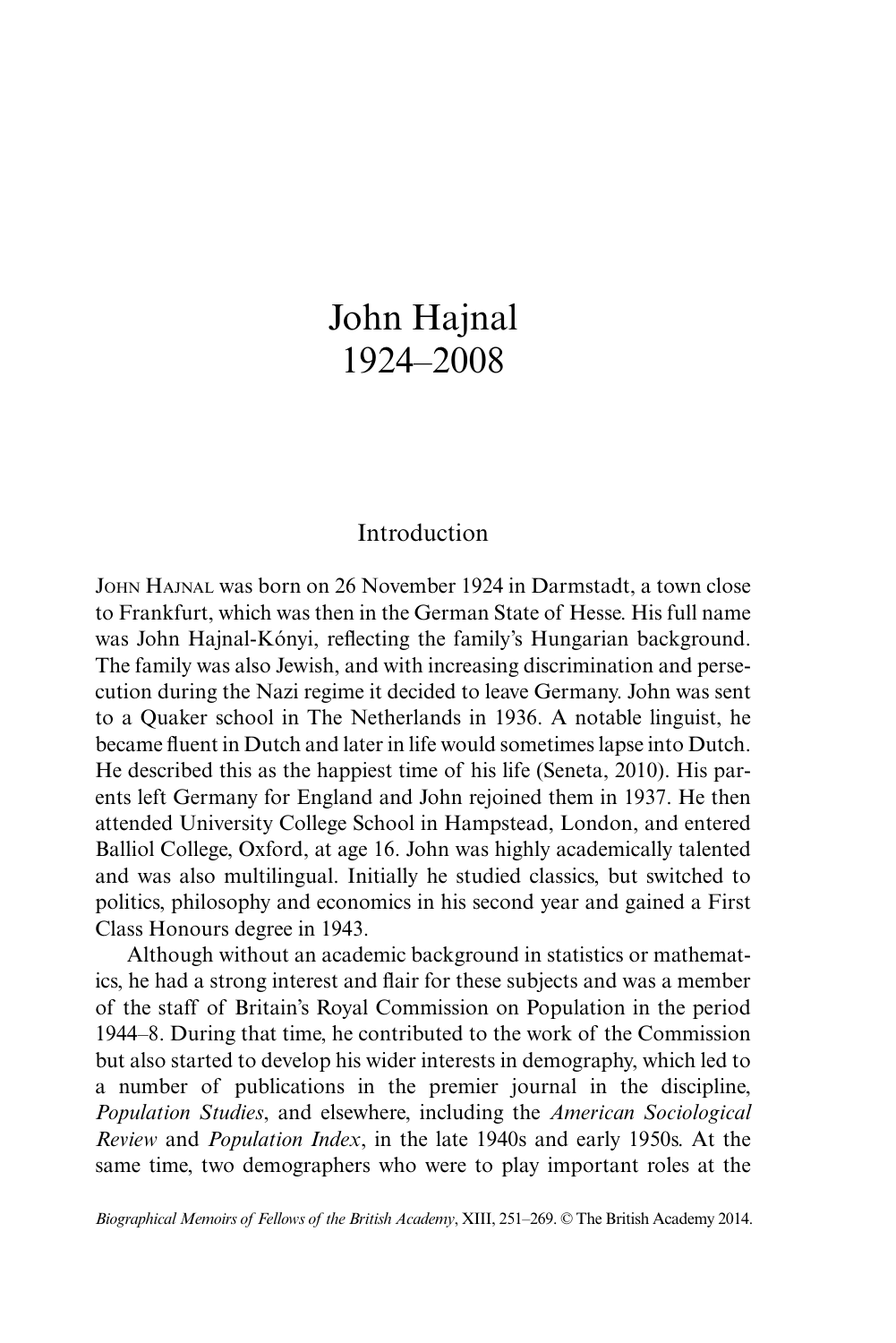# John Hajnal 1924–2008

## Introduction

John Hajnal was born on 26 November 1924 in Darmstadt, a town close to Frankfurt, which was then in the German State of Hesse. His full name was John Hajnal-Kónyi, reflecting the family's Hungarian background. The family was also Jewish, and with increasing discrimination and persecution during the Nazi regime it decided to leave Germany. John was sent to a Quaker school in The Netherlands in 1936. A notable linguist, he became fluent in Dutch and later in life would sometimes lapse into Dutch. He described this as the happiest time of his life (Seneta, 2010). His parents left Germany for England and John rejoined them in 1937. He then attended University College School in Hampstead, London, and entered Balliol College, Oxford, at age 16. John was highly academically talented and was also multilingual. Initially he studied classics, but switched to politics, philosophy and economics in his second year and gained a First Class Honours degree in 1943.

Although without an academic background in statistics or mathematics, he had a strong interest and flair for these subjects and was a member of the staff of Britain's Royal Commission on Population in the period 1944–8. During that time, he contributed to the work of the Commission but also started to develop his wider interests in demography, which led to a number of publications in the premier journal in the discipline, *Population Studies*, and elsewhere, including the *American Sociological Review* and *Population Index*, in the late 1940s and early 1950s. At the same time, two demographers who were to play important roles at the

*Biographical Memoirs of Fellows of the British Academy*, XIII, 251–269. © The British Academy 2014.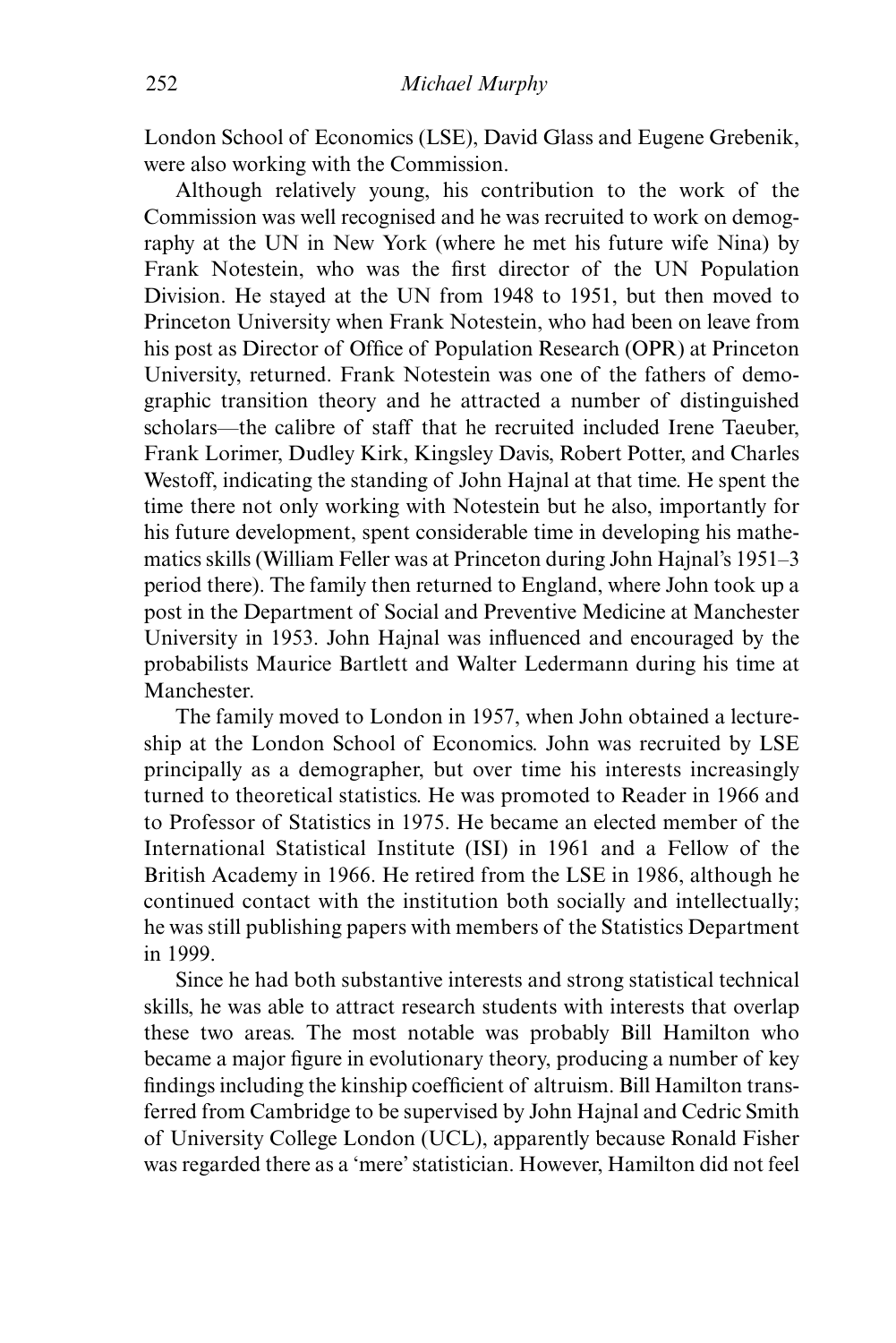London School of Economics (LSE), David Glass and Eugene Grebenik, were also working with the Commission.

Although relatively young, his contribution to the work of the Commission was well recognised and he was recruited to work on demography at the UN in New York (where he met his future wife Nina) by Frank Notestein, who was the first director of the UN Population Division. He stayed at the UN from 1948 to 1951, but then moved to Princeton University when Frank Notestein, who had been on leave from his post as Director of Office of Population Research (OPR) at Princeton University, returned. Frank Notestein was one of the fathers of demographic transition theory and he attracted a number of distinguished scholars—the calibre of staff that he recruited included Irene Taeuber, Frank Lorimer, Dudley Kirk, Kingsley Davis, Robert Potter, and Charles Westoff, indicating the standing of John Hajnal at that time. He spent the time there not only working with Notestein but he also, importantly for his future development, spent considerable time in developing his mathematics skills (William Feller was at Princeton during John Hajnal's 1951–3 period there). The family then returned to England, where John took up a post in the Department of Social and Preventive Medicine at Manchester University in 1953. John Hajnal was influenced and encouraged by the probabilists Maurice Bartlett and Walter Ledermann during his time at Manchester.

The family moved to London in 1957, when John obtained a lectureship at the London School of Economics. John was recruited by LSE principally as a demographer, but over time his interests increasingly turned to theoretical statistics. He was promoted to Reader in 1966 and to Professor of Statistics in 1975. He became an elected member of the International Statistical Institute (ISI) in 1961 and a Fellow of the British Academy in 1966. He retired from the LSE in 1986, although he continued contact with the institution both socially and intellectually; he was still publishing papers with members of the Statistics Department in 1999.

Since he had both substantive interests and strong statistical technical skills, he was able to attract research students with interests that overlap these two areas. The most notable was probably Bill Hamilton who became a major figure in evolutionary theory, producing a number of key findings including the kinship coefficient of altruism. Bill Hamilton transferred from Cambridge to be supervised by John Hajnal and Cedric Smith of University College London (UCL), apparently because Ronald Fisher was regarded there as a 'mere' statistician. However, Hamilton did not feel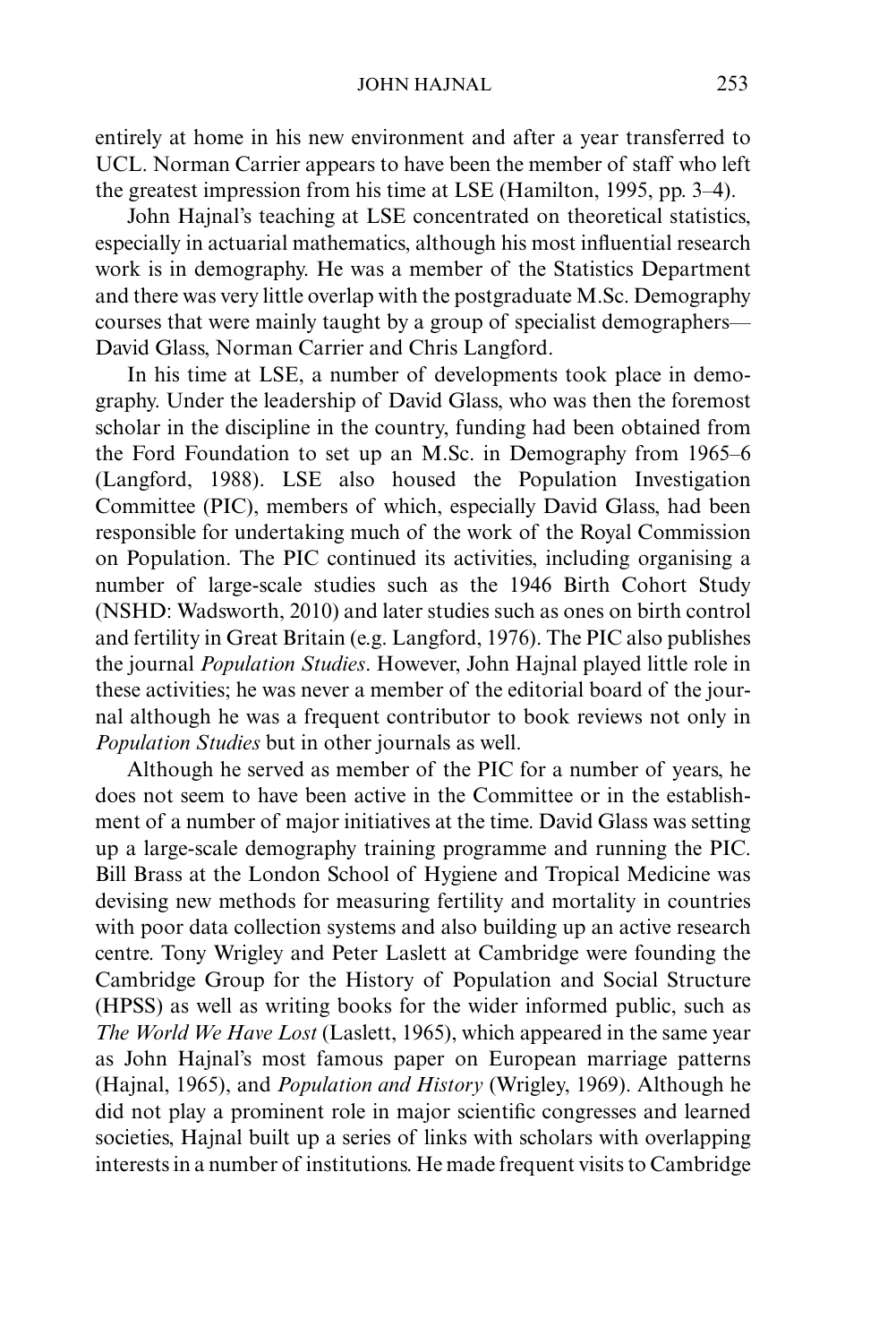entirely at home in his new environment and after a year transferred to UCL. Norman Carrier appears to have been the member of staff who left the greatest impression from his time at LSE (Hamilton, 1995, pp. 3–4).

John Hajnal's teaching at LSE concentrated on theoretical statistics, especially in actuarial mathematics, although his most influential research work is in demography. He was a member of the Statistics Department and there was very little overlap with the postgraduate M.Sc. Demography courses that were mainly taught by a group of specialist demographers— David Glass, Norman Carrier and Chris Langford.

In his time at LSE, a number of developments took place in demography. Under the leadership of David Glass, who was then the foremost scholar in the discipline in the country, funding had been obtained from the Ford Foundation to set up an M.Sc. in Demography from 1965–6 (Langford, 1988). LSE also housed the Population Investigation Committee (PIC), members of which, especially David Glass, had been responsible for undertaking much of the work of the Royal Commission on Population. The PIC continued its activities, including organising a number of large-scale studies such as the 1946 Birth Cohort Study (NSHD: Wadsworth, 2010) and later studies such as ones on birth control and fertility in Great Britain (e.g. Langford, 1976). The PIC also publishes the journal *Population Studies*. However, John Hajnal played little role in these activities; he was never a member of the editorial board of the journal although he was a frequent contributor to book reviews not only in *Population Studies* but in other journals as well.

Although he served as member of the PIC for a number of years, he does not seem to have been active in the Committee or in the establishment of a number of major initiatives at the time. David Glass was setting up a large-scale demography training programme and running the PIC. Bill Brass at the London School of Hygiene and Tropical Medicine was devising new methods for measuring fertility and mortality in countries with poor data collection systems and also building up an active research centre. Tony Wrigley and Peter Laslett at Cambridge were founding the Cambridge Group for the History of Population and Social Structure (HPSS) as well as writing books for the wider informed public, such as *The World We Have Lost* (Laslett, 1965), which appeared in the same year as John Hajnal's most famous paper on European marriage patterns (Hajnal, 1965), and *Population and History* (Wrigley, 1969). Although he did not play a prominent role in major scientific congresses and learned societies, Hajnal built up a series of links with scholars with overlapping interests in a number of institutions. He made frequent visits to Cambridge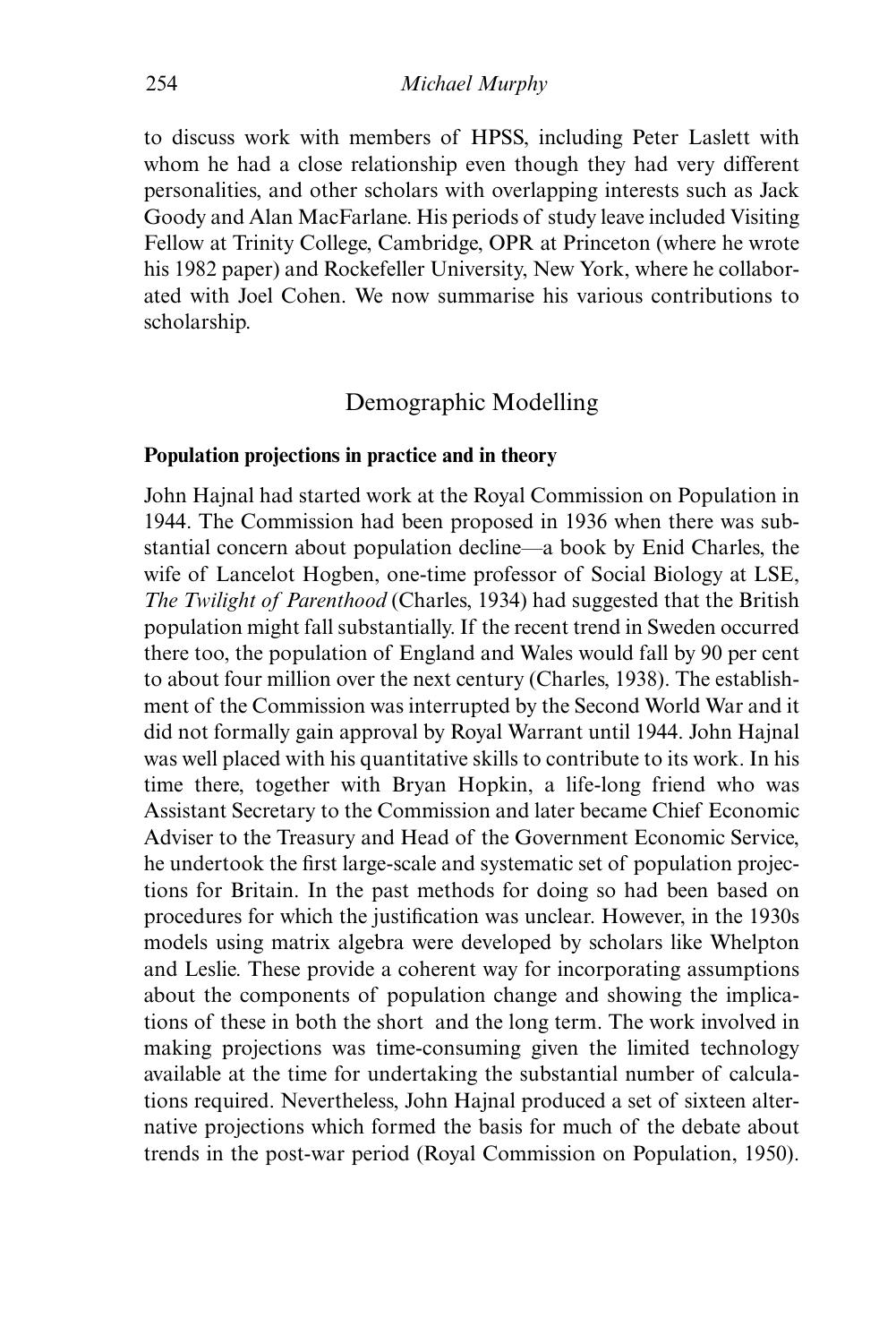to discuss work with members of HPSS, including Peter Laslett with whom he had a close relationship even though they had very different personalities, and other scholars with overlapping interests such as Jack Goody and Alan MacFarlane. His periods of study leave included Visiting Fellow at Trinity College, Cambridge, OPR at Princeton (where he wrote his 1982 paper) and Rockefeller University, New York, where he collaborated with Joel Cohen. We now summarise his various contributions to scholarship.

## Demographic Modelling

#### **Population projections in practice and in theory**

John Hajnal had started work at the Royal Commission on Population in 1944. The Commission had been proposed in 1936 when there was substantial concern about population decline—a book by Enid Charles, the wife of Lancelot Hogben, one-time professor of Social Biology at LSE, *The Twilight of Parenthood* (Charles, 1934) had suggested that the British population might fall substantially. If the recent trend in Sweden occurred there too, the population of England and Wales would fall by 90 per cent to about four million over the next century (Charles, 1938). The establishment of the Commission was interrupted by the Second World War and it did not formally gain approval by Royal Warrant until 1944. John Hajnal was well placed with his quantitative skills to contribute to its work. In his time there, together with Bryan Hopkin, a life-long friend who was Assistant Secretary to the Commission and later became Chief Economic Adviser to the Treasury and Head of the Government Economic Service, he undertook the first large-scale and systematic set of population projections for Britain. In the past methods for doing so had been based on procedures for which the justification was unclear. However, in the 1930s models using matrix algebra were developed by scholars like Whelpton and Leslie. These provide a coherent way for incorporating assumptions about the components of population change and showing the implications of these in both the short and the long term. The work involved in making projections was time-consuming given the limited technology available at the time for undertaking the substantial number of calculations required. Nevertheless, John Hajnal produced a set of sixteen alternative projections which formed the basis for much of the debate about trends in the post-war period (Royal Commission on Population, 1950).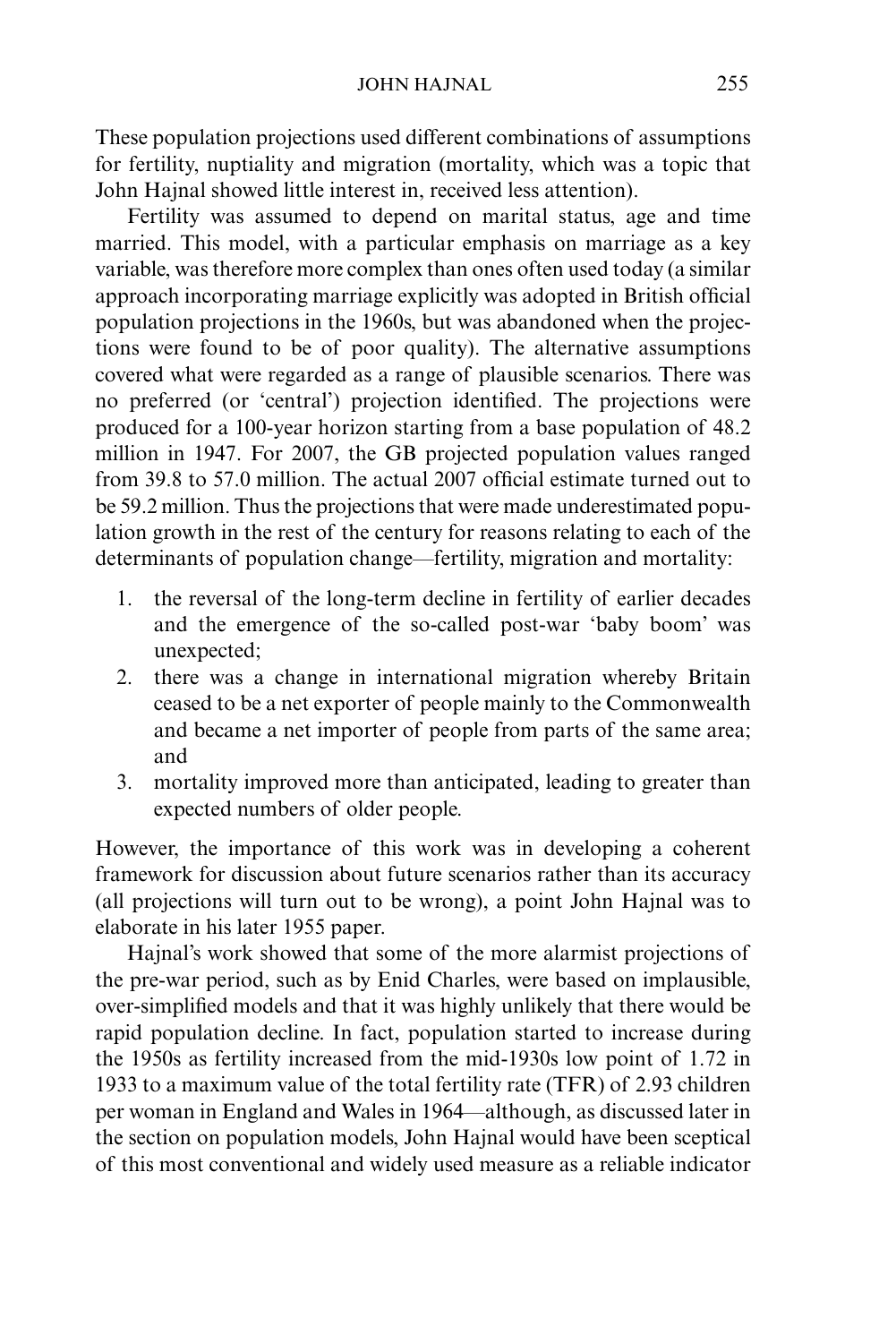These population projections used different combinations of assumptions for fertility, nuptiality and migration (mortality, which was a topic that John Hajnal showed little interest in, received less attention).

Fertility was assumed to depend on marital status, age and time married. This model, with a particular emphasis on marriage as a key variable, was therefore more complex than ones often used today (a similar approach incorporating marriage explicitly was adopted in British official population projections in the 1960s, but was abandoned when the projections were found to be of poor quality). The alternative assumptions covered what were regarded as a range of plausible scenarios. There was no preferred (or 'central') projection identified. The projections were produced for a 100-year horizon starting from a base population of 48.2 million in 1947. For 2007, the GB projected population values ranged from 39.8 to 57.0 million. The actual 2007 official estimate turned out to be 59.2 million. Thus the projections that were made underestimated population growth in the rest of the century for reasons relating to each of the determinants of population change—fertility, migration and mortality:

- 1. the reversal of the long-term decline in fertility of earlier decades and the emergence of the so-called post-war 'baby boom' was unexpected;
- 2. there was a change in international migration whereby Britain ceased to be a net exporter of people mainly to the Commonwealth and became a net importer of people from parts of the same area; and
- 3. mortality improved more than anticipated, leading to greater than expected numbers of older people.

However, the importance of this work was in developing a coherent framework for discussion about future scenarios rather than its accuracy (all projections will turn out to be wrong), a point John Hajnal was to elaborate in his later 1955 paper.

Hajnal's work showed that some of the more alarmist projections of the pre-war period, such as by Enid Charles, were based on implausible, over-simplified models and that it was highly unlikely that there would be rapid population decline. In fact, population started to increase during the 1950s as fertility increased from the mid-1930s low point of 1.72 in 1933 to a maximum value of the total fertility rate (TFR) of 2.93 children per woman in England and Wales in 1964—although, as discussed later in the section on population models, John Hajnal would have been sceptical of this most conventional and widely used measure as a reliable indicator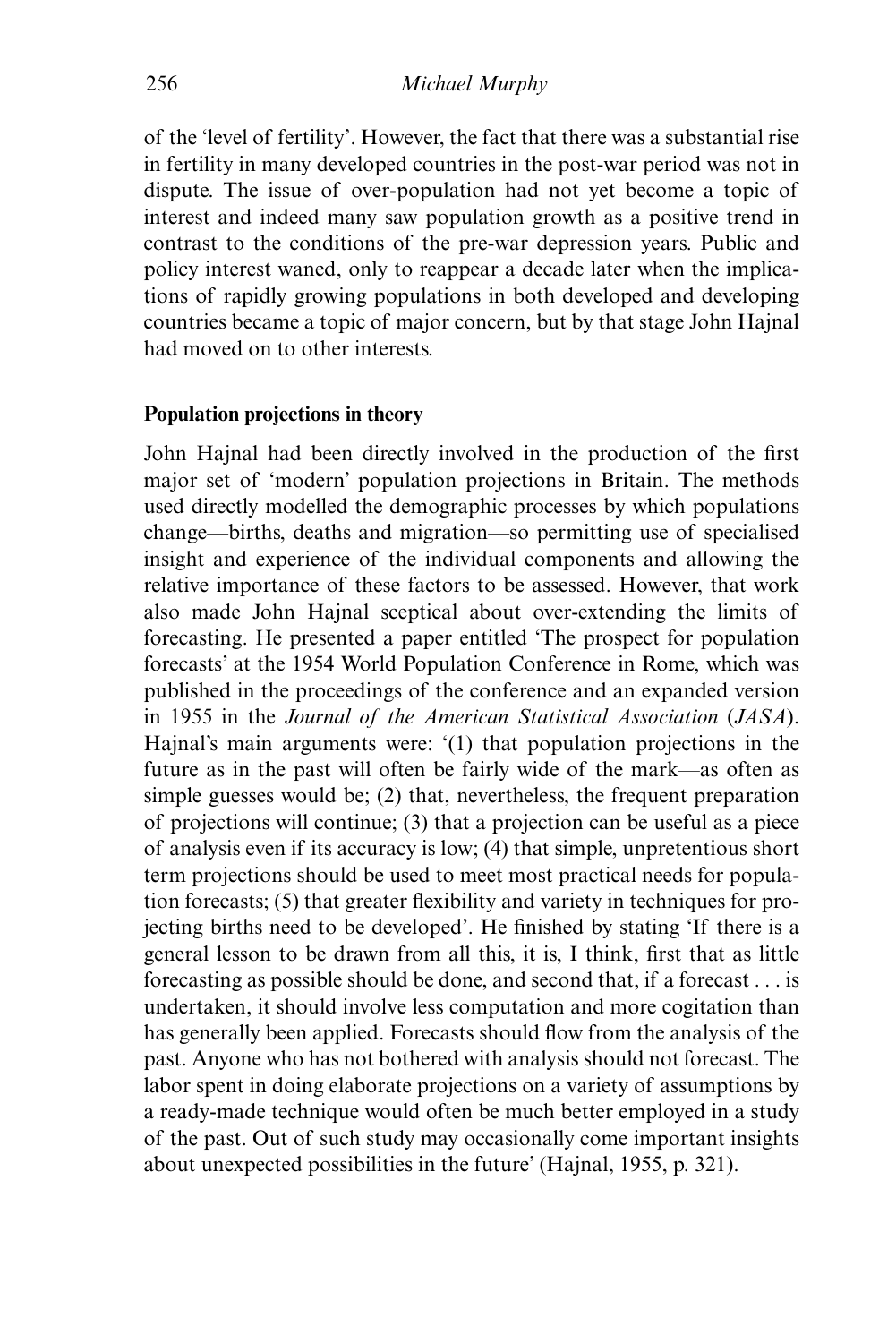of the 'level of fertility'. However, the fact that there was a substantial rise in fertility in many developed countries in the post-war period was not in dispute. The issue of over-population had not yet become a topic of interest and indeed many saw population growth as a positive trend in contrast to the conditions of the pre-war depression years. Public and policy interest waned, only to reappear a decade later when the implications of rapidly growing populations in both developed and developing countries became a topic of major concern, but by that stage John Hajnal had moved on to other interests.

# **Population projections in theory**

John Hajnal had been directly involved in the production of the first major set of 'modern' population projections in Britain. The methods used directly modelled the demographic processes by which populations change—births, deaths and migration—so permitting use of specialised insight and experience of the individual components and allowing the relative importance of these factors to be assessed. However, that work also made John Hajnal sceptical about over-extending the limits of forecasting. He presented a paper entitled 'The prospect for population forecasts' at the 1954 World Population Conference in Rome, which was published in the proceedings of the conference and an expanded version in 1955 in the *Journal of the American Statistical Association* (*JASA*). Hajnal's main arguments were: '(1) that population projections in the future as in the past will often be fairly wide of the mark—as often as simple guesses would be; (2) that, nevertheless, the frequent preparation of projections will continue; (3) that a projection can be useful as a piece of analysis even if its accuracy is low; (4) that simple, unpretentious short term projections should be used to meet most practical needs for population forecasts; (5) that greater flexibility and variety in techniques for projecting births need to be developed'. He finished by stating 'If there is a general lesson to be drawn from all this, it is, I think, first that as little forecasting as possible should be done, and second that, if a forecast . . . is undertaken, it should involve less computation and more cogitation than has generally been applied. Forecasts should flow from the analysis of the past. Anyone who has not bothered with analysis should not forecast. The labor spent in doing elaborate projections on a variety of assumptions by a ready-made technique would often be much better employed in a study of the past. Out of such study may occasionally come important insights about unexpected possibilities in the future' (Hajnal, 1955, p. 321).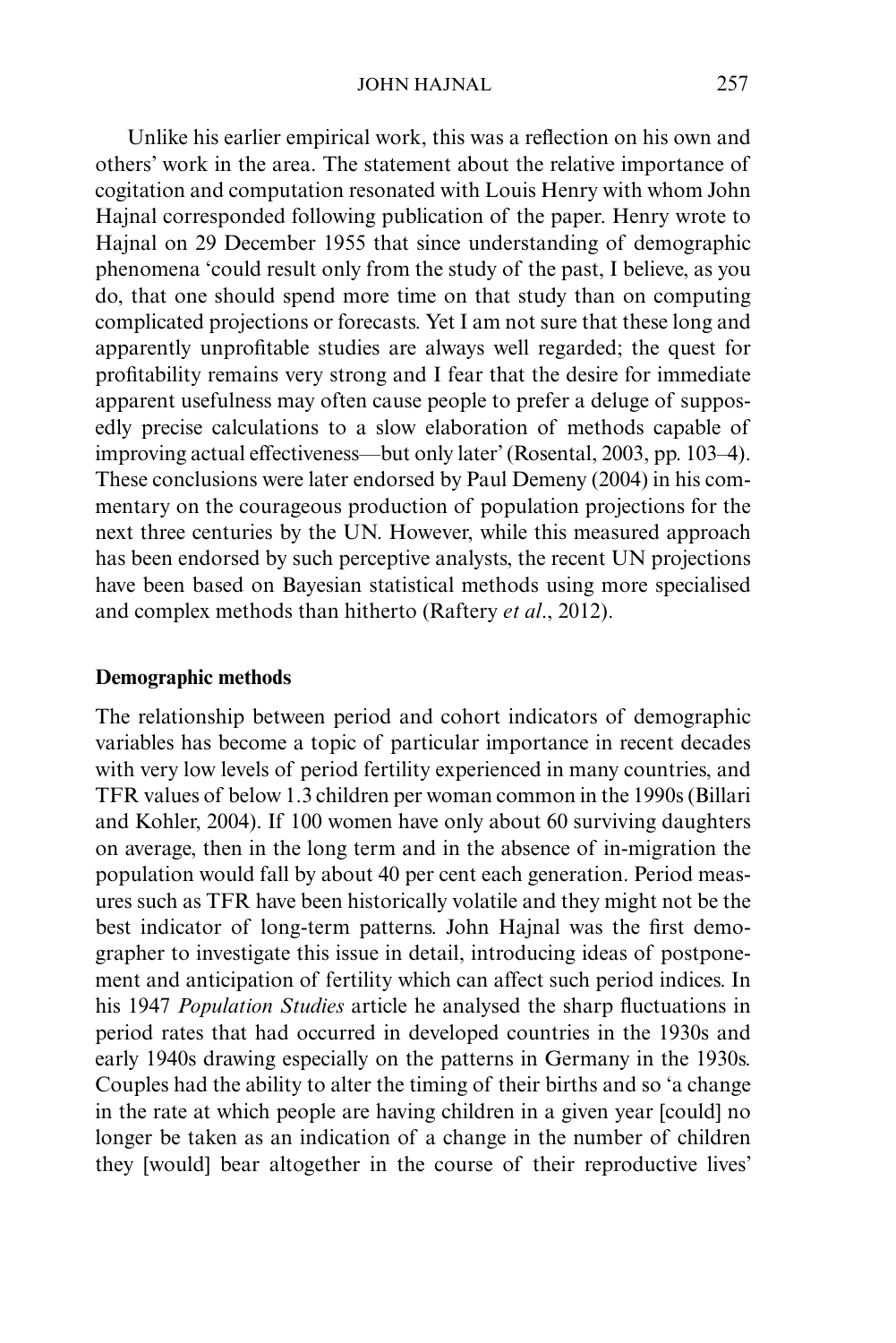Unlike his earlier empirical work, this was a reflection on his own and others' work in the area. The statement about the relative importance of cogitation and computation resonated with Louis Henry with whom John Hajnal corresponded following publication of the paper. Henry wrote to Hajnal on 29 December 1955 that since understanding of demographic phenomena 'could result only from the study of the past, I believe, as you do, that one should spend more time on that study than on computing complicated projections or forecasts. Yet I am not sure that these long and apparently unprofitable studies are always well regarded; the quest for profitability remains very strong and I fear that the desire for immediate apparent usefulness may often cause people to prefer a deluge of supposedly precise calculations to a slow elaboration of methods capable of improving actual effectiveness—but only later' (Rosental, 2003, pp. 103–4). These conclusions were later endorsed by Paul Demeny (2004) in his commentary on the courageous production of population projections for the next three centuries by the UN. However, while this measured approach has been endorsed by such perceptive analysts, the recent UN projections have been based on Bayesian statistical methods using more specialised and complex methods than hitherto (Raftery *et al*., 2012).

#### **Demographic methods**

The relationship between period and cohort indicators of demographic variables has become a topic of particular importance in recent decades with very low levels of period fertility experienced in many countries, and TFR values of below 1.3 children per woman common in the 1990s (Billari and Kohler, 2004). If 100 women have only about 60 surviving daughters on average, then in the long term and in the absence of in-migration the population would fall by about 40 per cent each generation. Period measures such as TFR have been historically volatile and they might not be the best indicator of long-term patterns. John Hajnal was the first demographer to investigate this issue in detail, introducing ideas of postponement and anticipation of fertility which can affect such period indices. In his 1947 *Population Studies* article he analysed the sharp fluctuations in period rates that had occurred in developed countries in the 1930s and early 1940s drawing especially on the patterns in Germany in the 1930s. Couples had the ability to alter the timing of their births and so 'a change in the rate at which people are having children in a given year [could] no longer be taken as an indication of a change in the number of children they [would] bear altogether in the course of their reproductive lives'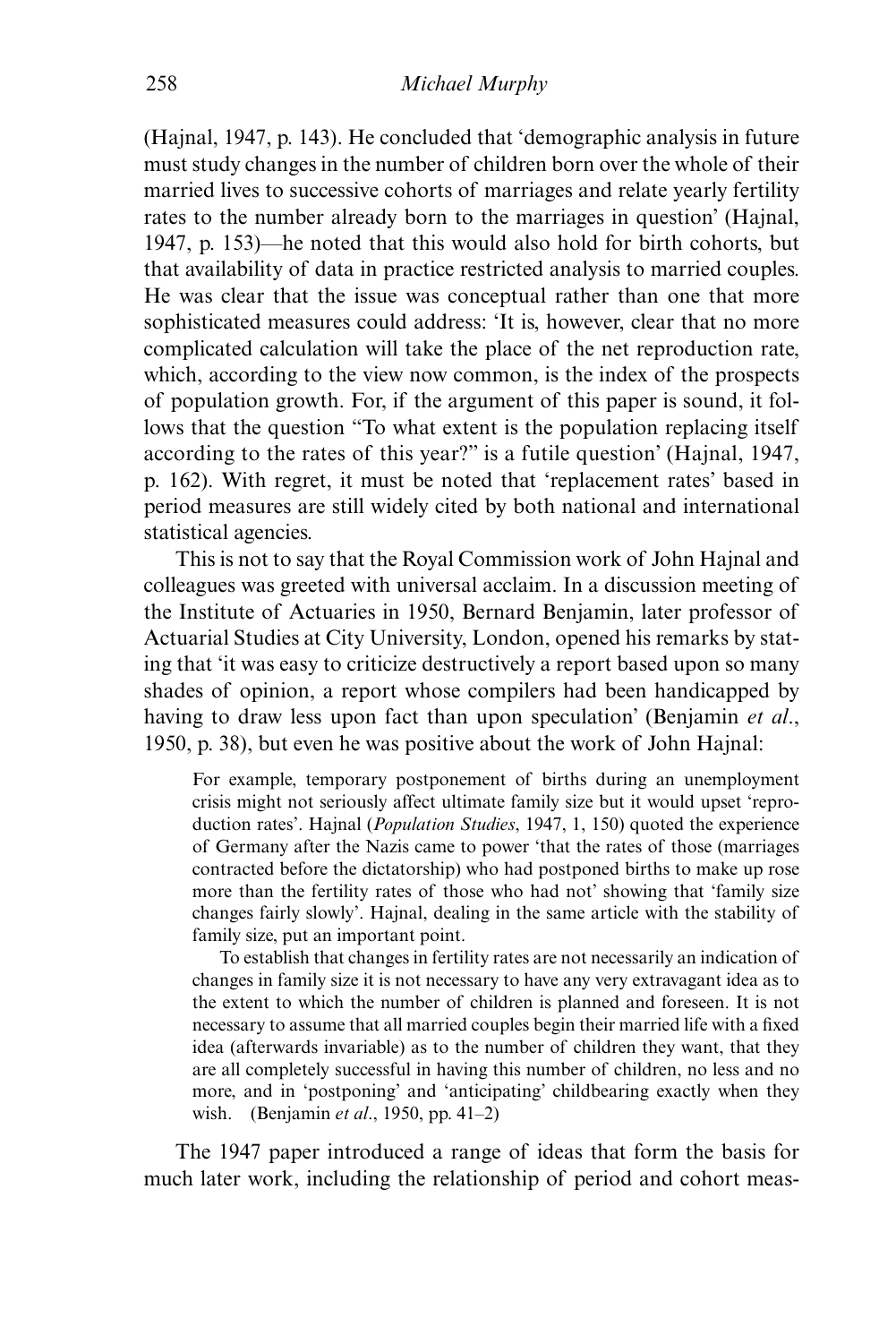(Hajnal, 1947, p. 143). He concluded that 'demographic analysis in future must study changes in the number of children born over the whole of their married lives to successive cohorts of marriages and relate yearly fertility rates to the number already born to the marriages in question' (Hajnal, 1947, p. 153)—he noted that this would also hold for birth cohorts, but that availability of data in practice restricted analysis to married couples. He was clear that the issue was conceptual rather than one that more sophisticated measures could address: 'It is, however, clear that no more complicated calculation will take the place of the net reproduction rate, which, according to the view now common, is the index of the prospects of population growth. For, if the argument of this paper is sound, it follows that the question "To what extent is the population replacing itself according to the rates of this year?" is a futile question' (Hajnal, 1947, p. 162). With regret, it must be noted that 'replacement rates' based in period measures are still widely cited by both national and international statistical agencies.

This is not to say that the Royal Commission work of John Hajnal and colleagues was greeted with universal acclaim. In a discussion meeting of the Institute of Actuaries in 1950, Bernard Benjamin, later professor of Actuarial Studies at City University, London, opened his remarks by stating that 'it was easy to criticize destructively a report based upon so many shades of opinion, a report whose compilers had been handicapped by having to draw less upon fact than upon speculation' (Benjamin *et al*., 1950, p. 38), but even he was positive about the work of John Hajnal:

For example, temporary postponement of births during an unemployment crisis might not seriously affect ultimate family size but it would upset 'reproduction rates'. Hajnal (*Population Studies*, 1947, 1, 150) quoted the experience of Germany after the Nazis came to power 'that the rates of those (marriages contracted before the dictatorship) who had postponed births to make up rose more than the fertility rates of those who had not' showing that 'family size changes fairly slowly'. Hajnal, dealing in the same article with the stability of family size, put an important point.

 To establish that changes in fertility rates are not necessarily an indication of changes in family size it is not necessary to have any very extravagant idea as to the extent to which the number of children is planned and foreseen. It is not necessary to assume that all married couples begin their married life with a fixed idea (afterwards invariable) as to the number of children they want, that they are all completely successful in having this number of children, no less and no more, and in 'postponing' and 'anticipating' childbearing exactly when they wish. (Benjamin *et al*., 1950, pp. 41–2)

The 1947 paper introduced a range of ideas that form the basis for much later work, including the relationship of period and cohort meas-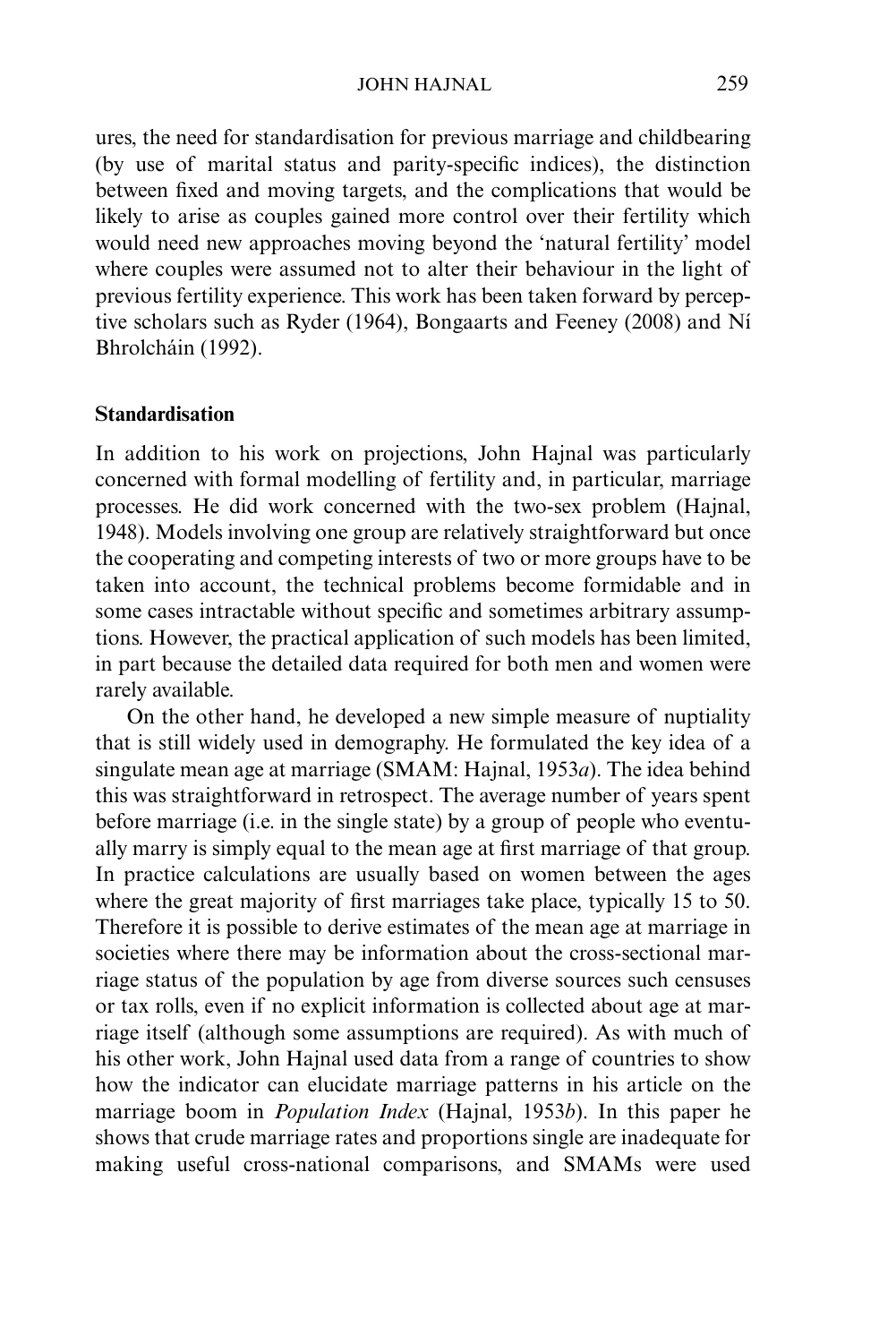#### JOHN HAJNAL 259

ures, the need for standardisation for previous marriage and childbearing (by use of marital status and parity-specific indices), the distinction between fixed and moving targets, and the complications that would be likely to arise as couples gained more control over their fertility which would need new approaches moving beyond the 'natural fertility' model where couples were assumed not to alter their behaviour in the light of previous fertility experience. This work has been taken forward by perceptive scholars such as Ryder (1964), Bongaarts and Feeney (2008) and Ní Bhrolcháin (1992).

#### **Standardisation**

In addition to his work on projections, John Hajnal was particularly concerned with formal modelling of fertility and, in particular, marriage processes. He did work concerned with the two-sex problem (Hajnal, 1948). Models involving one group are relatively straightforward but once the cooperating and competing interests of two or more groups have to be taken into account, the technical problems become formidable and in some cases intractable without specific and sometimes arbitrary assumptions. However, the practical application of such models has been limited, in part because the detailed data required for both men and women were rarely available.

On the other hand, he developed a new simple measure of nuptiality that is still widely used in demography. He formulated the key idea of a singulate mean age at marriage (SMAM: Hajnal, 1953*a*). The idea behind this was straightforward in retrospect. The average number of years spent before marriage (i.e. in the single state) by a group of people who eventually marry is simply equal to the mean age at first marriage of that group. In practice calculations are usually based on women between the ages where the great majority of first marriages take place, typically 15 to 50. Therefore it is possible to derive estimates of the mean age at marriage in societies where there may be information about the cross-sectional marriage status of the population by age from diverse sources such censuses or tax rolls, even if no explicit information is collected about age at marriage itself (although some assumptions are required). As with much of his other work, John Hajnal used data from a range of countries to show how the indicator can elucidate marriage patterns in his article on the marriage boom in *Population Index* (Hajnal, 1953*b*). In this paper he shows that crude marriage rates and proportions single are inadequate for making useful cross-national comparisons, and SMAMs were used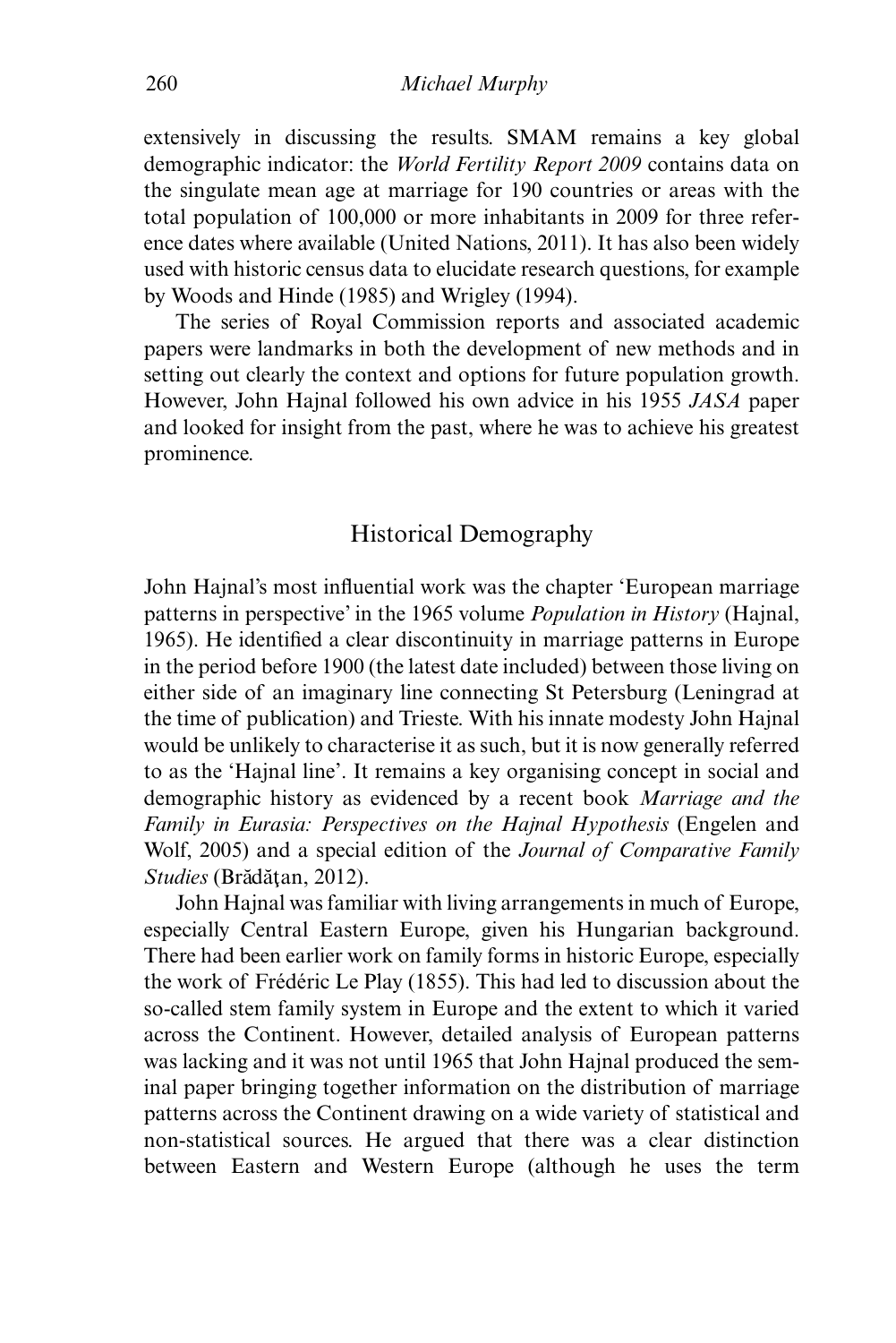extensively in discussing the results. SMAM remains a key global demographic indicator: the *World Fertility Report 2009* contains data on the singulate mean age at marriage for 190 countries or areas with the total population of 100,000 or more inhabitants in 2009 for three reference dates where available (United Nations, 2011). It has also been widely used with historic census data to elucidate research questions, for example by Woods and Hinde (1985) and Wrigley (1994).

The series of Royal Commission reports and associated academic papers were landmarks in both the development of new methods and in setting out clearly the context and options for future population growth. However, John Hajnal followed his own advice in his 1955 *JASA* paper and looked for insight from the past, where he was to achieve his greatest prominence.

# Historical Demography

John Hajnal's most influential work was the chapter 'European marriage patterns in perspective' in the 1965 volume *Population in History* (Hajnal, 1965). He identified a clear discontinuity in marriage patterns in Europe in the period before 1900 (the latest date included) between those living on either side of an imaginary line connecting St Petersburg (Leningrad at the time of publication) and Trieste. With his innate modesty John Hajnal would be unlikely to characterise it as such, but it is now generally referred to as the 'Hajnal line'. It remains a key organising concept in social and demographic history as evidenced by a recent book *Marriage and the Family in Eurasia: Perspectives on the Hajnal Hypothesis* (Engelen and Wolf, 2005) and a special edition of the *Journal of Comparative Family Studies* (Brădățan, 2012).

John Hajnal was familiar with living arrangements in much of Europe, especially Central Eastern Europe, given his Hungarian background. There had been earlier work on family forms in historic Europe, especially the work of Frédéric Le Play (1855). This had led to discussion about the so-called stem family system in Europe and the extent to which it varied across the Continent. However, detailed analysis of European patterns was lacking and it was not until 1965 that John Hajnal produced the seminal paper bringing together information on the distribution of marriage patterns across the Continent drawing on a wide variety of statistical and non-statistical sources. He argued that there was a clear distinction between Eastern and Western Europe (although he uses the term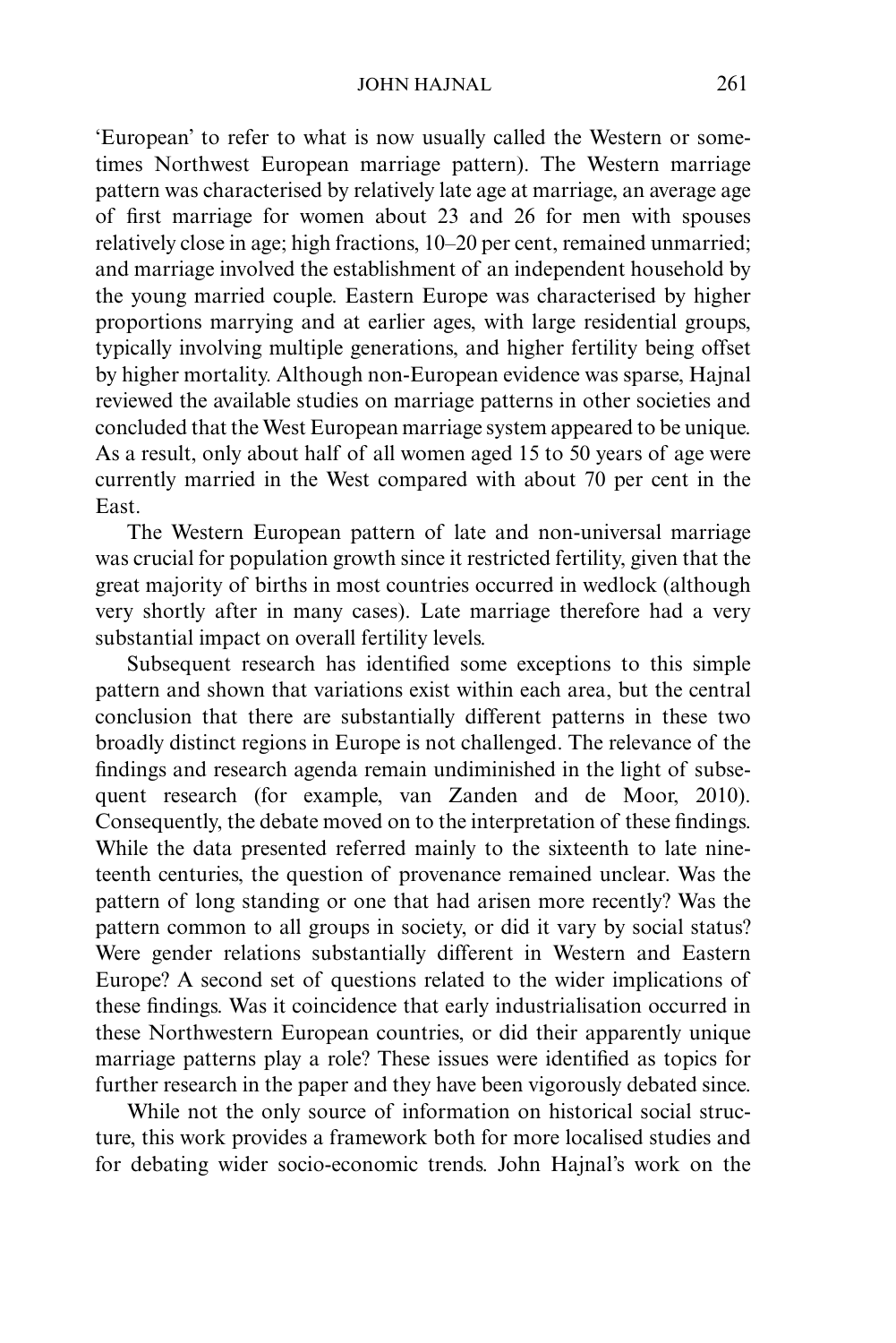'European' to refer to what is now usually called the Western or sometimes Northwest European marriage pattern). The Western marriage pattern was characterised by relatively late age at marriage, an average age of first marriage for women about 23 and 26 for men with spouses relatively close in age; high fractions, 10–20 per cent, remained unmarried; and marriage involved the establishment of an independent household by the young married couple. Eastern Europe was characterised by higher proportions marrying and at earlier ages, with large residential groups, typically involving multiple generations, and higher fertility being offset by higher mortality. Although non-European evidence was sparse, Hajnal reviewed the available studies on marriage patterns in other societies and concluded that the West European marriage system appeared to be unique. As a result, only about half of all women aged 15 to 50 years of age were currently married in the West compared with about 70 per cent in the East.

The Western European pattern of late and non-universal marriage was crucial for population growth since it restricted fertility, given that the great majority of births in most countries occurred in wedlock (although very shortly after in many cases). Late marriage therefore had a very substantial impact on overall fertility levels.

Subsequent research has identified some exceptions to this simple pattern and shown that variations exist within each area, but the central conclusion that there are substantially different patterns in these two broadly distinct regions in Europe is not challenged. The relevance of the findings and research agenda remain undiminished in the light of subsequent research (for example, van Zanden and de Moor, 2010). Consequently, the debate moved on to the interpretation of these findings. While the data presented referred mainly to the sixteenth to late nineteenth centuries, the question of provenance remained unclear. Was the pattern of long standing or one that had arisen more recently? Was the pattern common to all groups in society, or did it vary by social status? Were gender relations substantially different in Western and Eastern Europe? A second set of questions related to the wider implications of these findings. Was it coincidence that early industrialisation occurred in these Northwestern European countries, or did their apparently unique marriage patterns play a role? These issues were identified as topics for further research in the paper and they have been vigorously debated since.

While not the only source of information on historical social structure, this work provides a framework both for more localised studies and for debating wider socio-economic trends. John Hajnal's work on the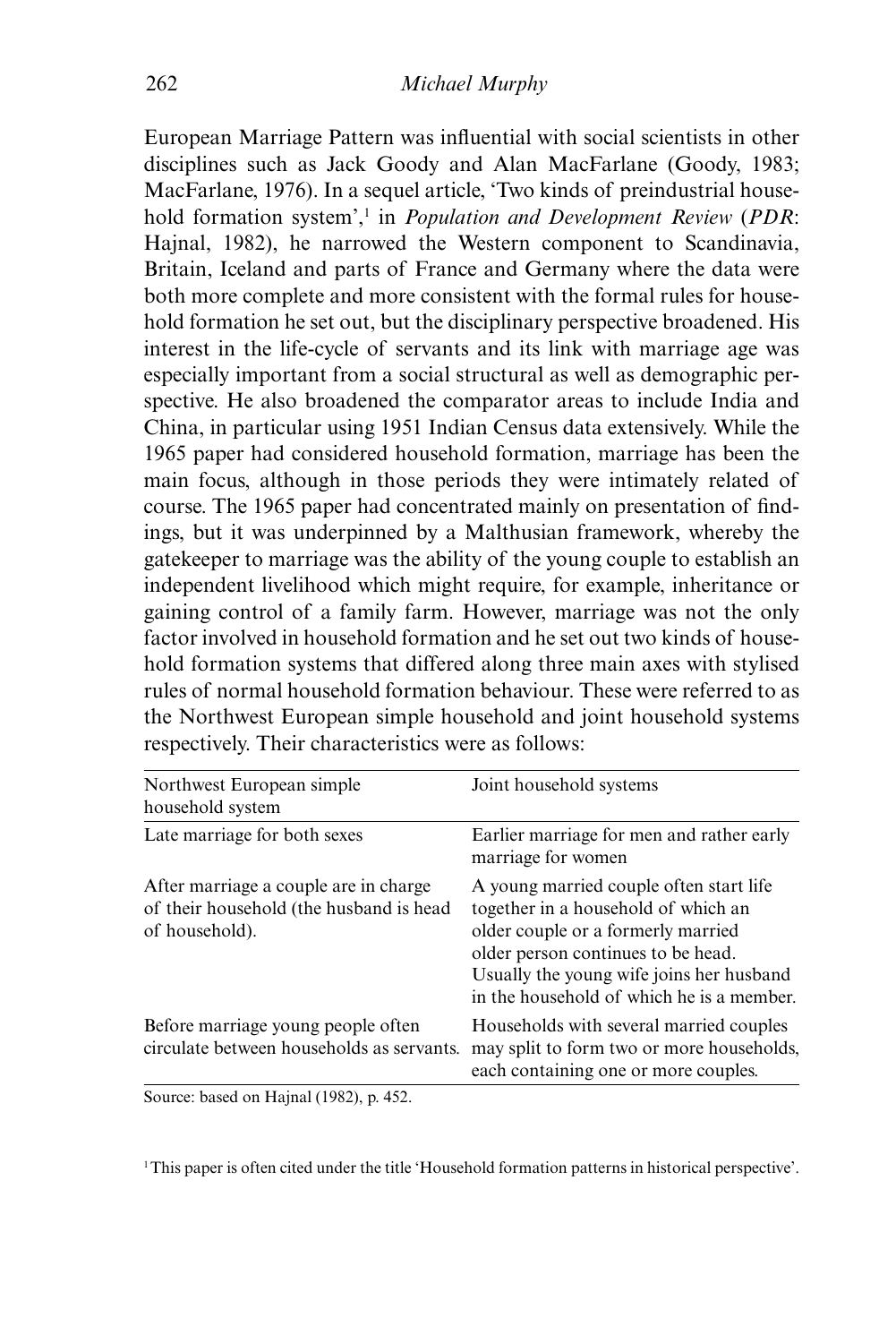European Marriage Pattern was influential with social scientists in other disciplines such as Jack Goody and Alan MacFarlane (Goody, 1983; MacFarlane, 1976). In a sequel article, 'Two kinds of preindustrial household formation system',<sup>1</sup> in *Population and Development Review* (*PDR*: Hajnal, 1982), he narrowed the Western component to Scandinavia, Britain, Iceland and parts of France and Germany where the data were both more complete and more consistent with the formal rules for household formation he set out, but the disciplinary perspective broadened. His interest in the life-cycle of servants and its link with marriage age was especially important from a social structural as well as demographic perspective. He also broadened the comparator areas to include India and China, in particular using 1951 Indian Census data extensively. While the 1965 paper had considered household formation, marriage has been the main focus, although in those periods they were intimately related of course. The 1965 paper had concentrated mainly on presentation of findings, but it was underpinned by a Malthusian framework, whereby the gatekeeper to marriage was the ability of the young couple to establish an independent livelihood which might require, for example, inheritance or gaining control of a family farm. However, marriage was not the only factor involved in household formation and he set out two kinds of household formation systems that differed along three main axes with stylised rules of normal household formation behaviour. These were referred to as the Northwest European simple household and joint household systems respectively. Their characteristics were as follows:

| Northwest European simple<br>household system                                                       | Joint household systems                                                                                                                                                                                                                             |
|-----------------------------------------------------------------------------------------------------|-----------------------------------------------------------------------------------------------------------------------------------------------------------------------------------------------------------------------------------------------------|
| Late marriage for both sexes                                                                        | Earlier marriage for men and rather early<br>marriage for women                                                                                                                                                                                     |
| After marriage a couple are in charge.<br>of their household (the husband is head<br>of household). | A young married couple often start life<br>together in a household of which an<br>older couple or a formerly married<br>older person continues to be head.<br>Usually the young wife joins her husband<br>in the household of which he is a member. |
| Before marriage young people often<br>circulate between households as servants.                     | Households with several married couples<br>may split to form two or more households,<br>each containing one or more couples.                                                                                                                        |

Source: based on Hajnal (1982), p. 452.

1This paper is often cited under the title 'Household formation patterns in historical perspective'.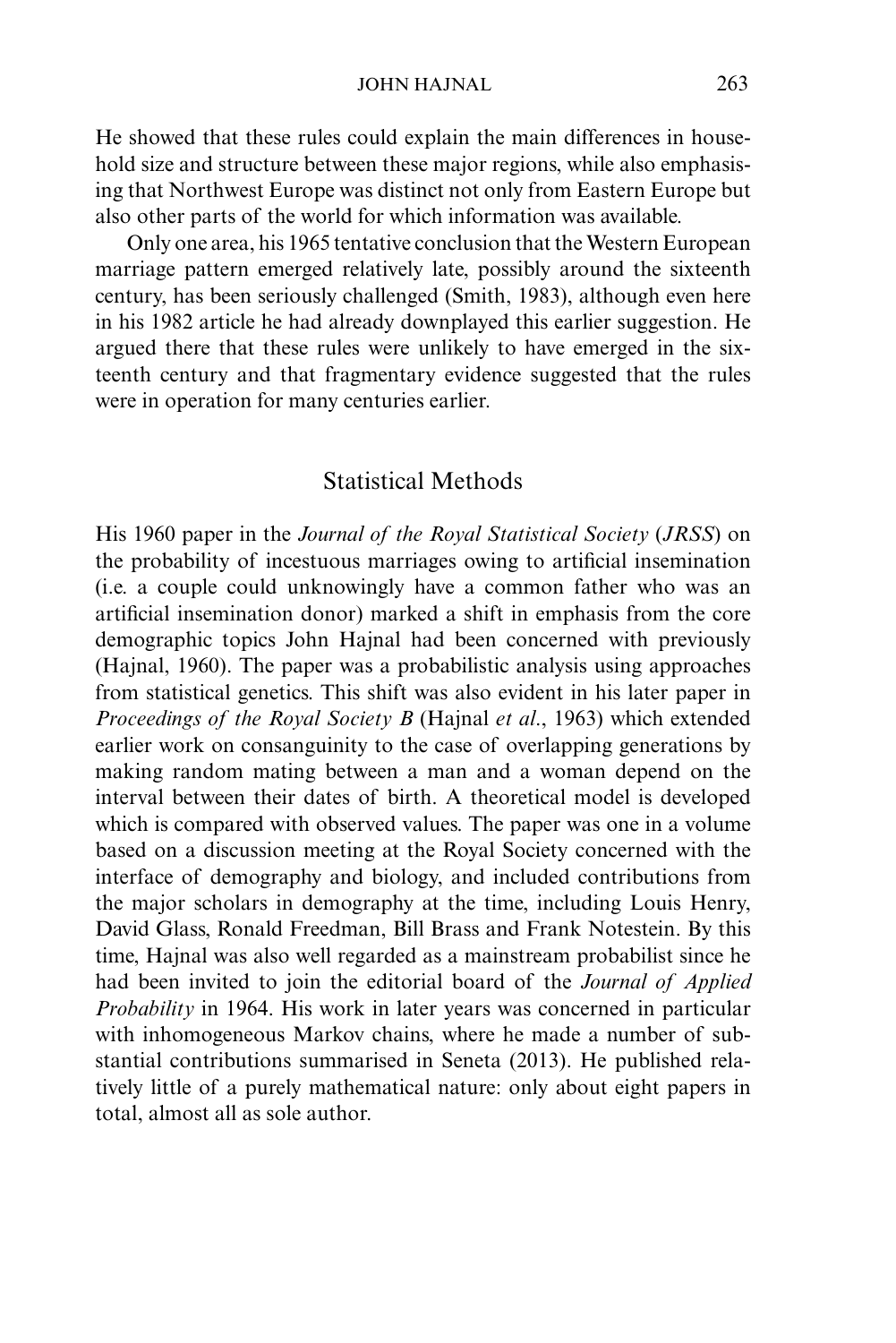He showed that these rules could explain the main differences in household size and structure between these major regions, while also emphasising that Northwest Europe was distinct not only from Eastern Europe but also other parts of the world for which information was available.

Only one area, his 1965 tentative conclusion that the Western European marriage pattern emerged relatively late, possibly around the sixteenth century, has been seriously challenged (Smith, 1983), although even here in his 1982 article he had already downplayed this earlier suggestion. He argued there that these rules were unlikely to have emerged in the sixteenth century and that fragmentary evidence suggested that the rules were in operation for many centuries earlier.

## Statistical Methods

His 1960 paper in the *Journal of the Royal Statistical Society* (*JRSS*) on the probability of incestuous marriages owing to artificial insemination (i.e. a couple could unknowingly have a common father who was an artificial insemination donor) marked a shift in emphasis from the core demographic topics John Hajnal had been concerned with previously (Hajnal, 1960). The paper was a probabilistic analysis using approaches from statistical genetics. This shift was also evident in his later paper in *Proceedings of the Royal Society B* (Hajnal *et al*., 1963) which extended earlier work on consanguinity to the case of overlapping generations by making random mating between a man and a woman depend on the interval between their dates of birth. A theoretical model is developed which is compared with observed values. The paper was one in a volume based on a discussion meeting at the Royal Society concerned with the interface of demography and biology, and included contributions from the major scholars in demography at the time, including Louis Henry, David Glass, Ronald Freedman, Bill Brass and Frank Notestein. By this time, Hajnal was also well regarded as a mainstream probabilist since he had been invited to join the editorial board of the *Journal of Applied Probability* in 1964. His work in later years was concerned in particular with inhomogeneous Markov chains, where he made a number of substantial contributions summarised in Seneta (2013). He published relatively little of a purely mathematical nature: only about eight papers in total, almost all as sole author.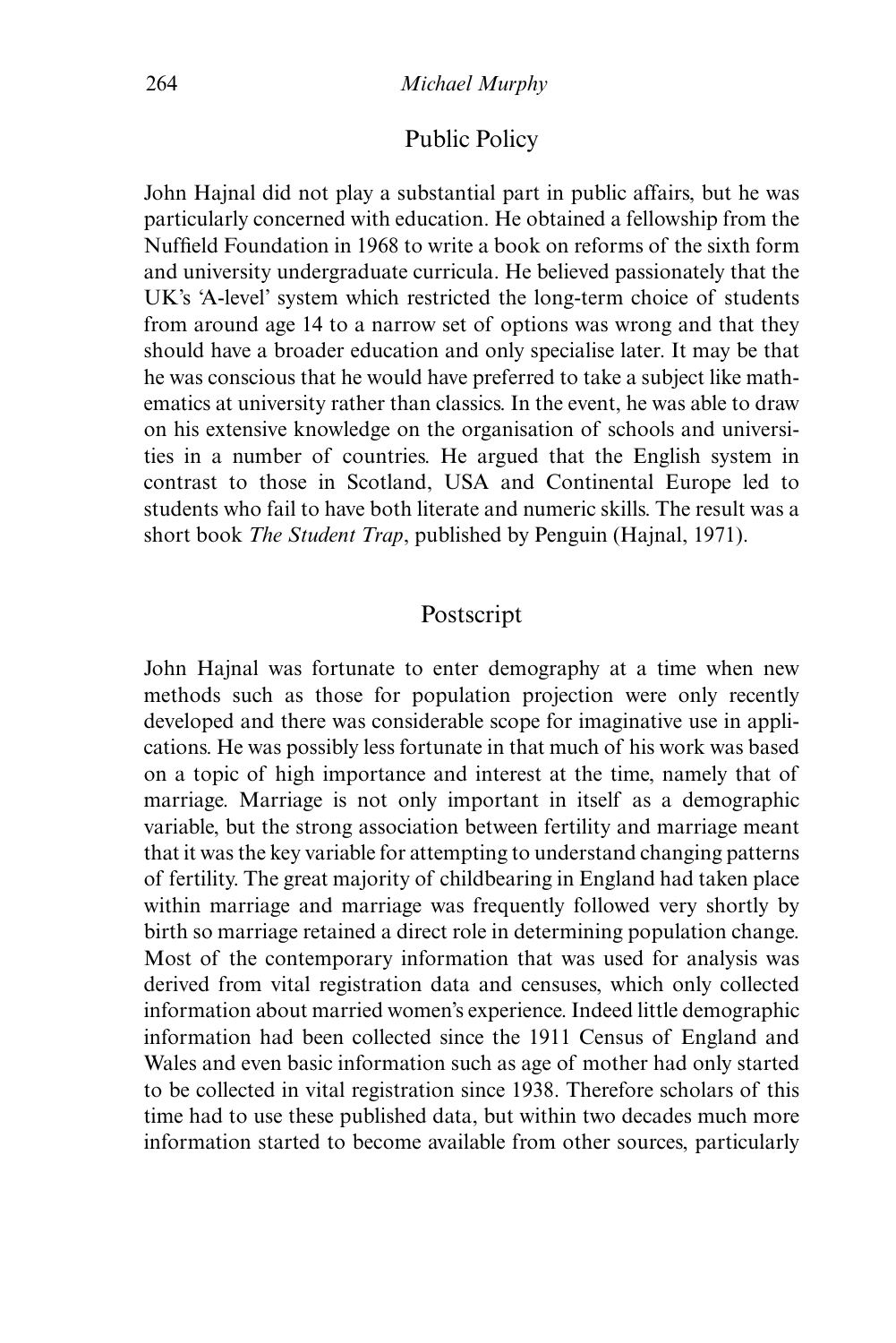## Public Policy

John Hajnal did not play a substantial part in public affairs, but he was particularly concerned with education. He obtained a fellowship from the Nuffield Foundation in 1968 to write a book on reforms of the sixth form and university undergraduate curricula. He believed passionately that the UK's 'A-level' system which restricted the long-term choice of students from around age 14 to a narrow set of options was wrong and that they should have a broader education and only specialise later. It may be that he was conscious that he would have preferred to take a subject like mathematics at university rather than classics. In the event, he was able to draw on his extensive knowledge on the organisation of schools and universities in a number of countries. He argued that the English system in contrast to those in Scotland, USA and Continental Europe led to students who fail to have both literate and numeric skills. The result was a short book *The Student Trap*, published by Penguin (Hajnal, 1971).

# Postscript

John Hajnal was fortunate to enter demography at a time when new methods such as those for population projection were only recently developed and there was considerable scope for imaginative use in applications. He was possibly less fortunate in that much of his work was based on a topic of high importance and interest at the time, namely that of marriage. Marriage is not only important in itself as a demographic variable, but the strong association between fertility and marriage meant that it was the key variable for attempting to understand changing patterns of fertility. The great majority of childbearing in England had taken place within marriage and marriage was frequently followed very shortly by birth so marriage retained a direct role in determining population change. Most of the contemporary information that was used for analysis was derived from vital registration data and censuses, which only collected information about married women's experience. Indeed little demographic information had been collected since the 1911 Census of England and Wales and even basic information such as age of mother had only started to be collected in vital registration since 1938. Therefore scholars of this time had to use these published data, but within two decades much more information started to become available from other sources, particularly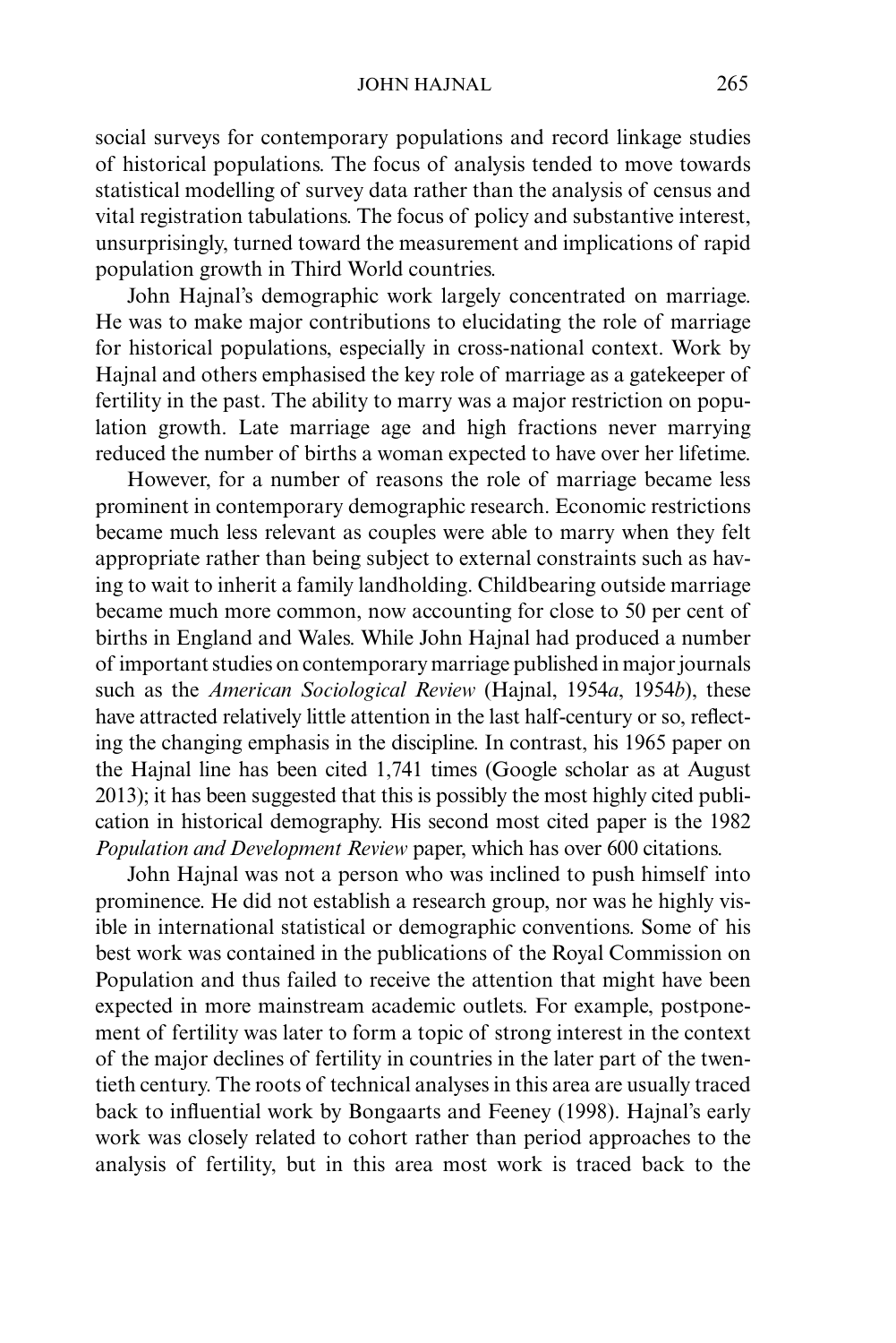social surveys for contemporary populations and record linkage studies of historical populations. The focus of analysis tended to move towards statistical modelling of survey data rather than the analysis of census and vital registration tabulations. The focus of policy and substantive interest, unsurprisingly, turned toward the measurement and implications of rapid population growth in Third World countries.

John Hajnal's demographic work largely concentrated on marriage. He was to make major contributions to elucidating the role of marriage for historical populations, especially in cross-national context. Work by Hajnal and others emphasised the key role of marriage as a gatekeeper of fertility in the past. The ability to marry was a major restriction on population growth. Late marriage age and high fractions never marrying reduced the number of births a woman expected to have over her lifetime.

However, for a number of reasons the role of marriage became less prominent in contemporary demographic research. Economic restrictions became much less relevant as couples were able to marry when they felt appropriate rather than being subject to external constraints such as having to wait to inherit a family landholding. Childbearing outside marriage became much more common, now accounting for close to 50 per cent of births in England and Wales. While John Hajnal had produced a number of important studies on contemporary marriage published in major journals such as the *American Sociological Review* (Hajnal, 1954*a*, 1954*b*), these have attracted relatively little attention in the last half-century or so, reflecting the changing emphasis in the discipline. In contrast, his 1965 paper on the Hajnal line has been cited 1,741 times (Google scholar as at August 2013); it has been suggested that this is possibly the most highly cited publication in historical demography. His second most cited paper is the 1982 *Population and Development Review* paper, which has over 600 citations.

John Hajnal was not a person who was inclined to push himself into prominence. He did not establish a research group, nor was he highly visible in international statistical or demographic conventions. Some of his best work was contained in the publications of the Royal Commission on Population and thus failed to receive the attention that might have been expected in more mainstream academic outlets. For example, postponement of fertility was later to form a topic of strong interest in the context of the major declines of fertility in countries in the later part of the twentieth century. The roots of technical analyses in this area are usually traced back to influential work by Bongaarts and Feeney (1998). Hajnal's early work was closely related to cohort rather than period approaches to the analysis of fertility, but in this area most work is traced back to the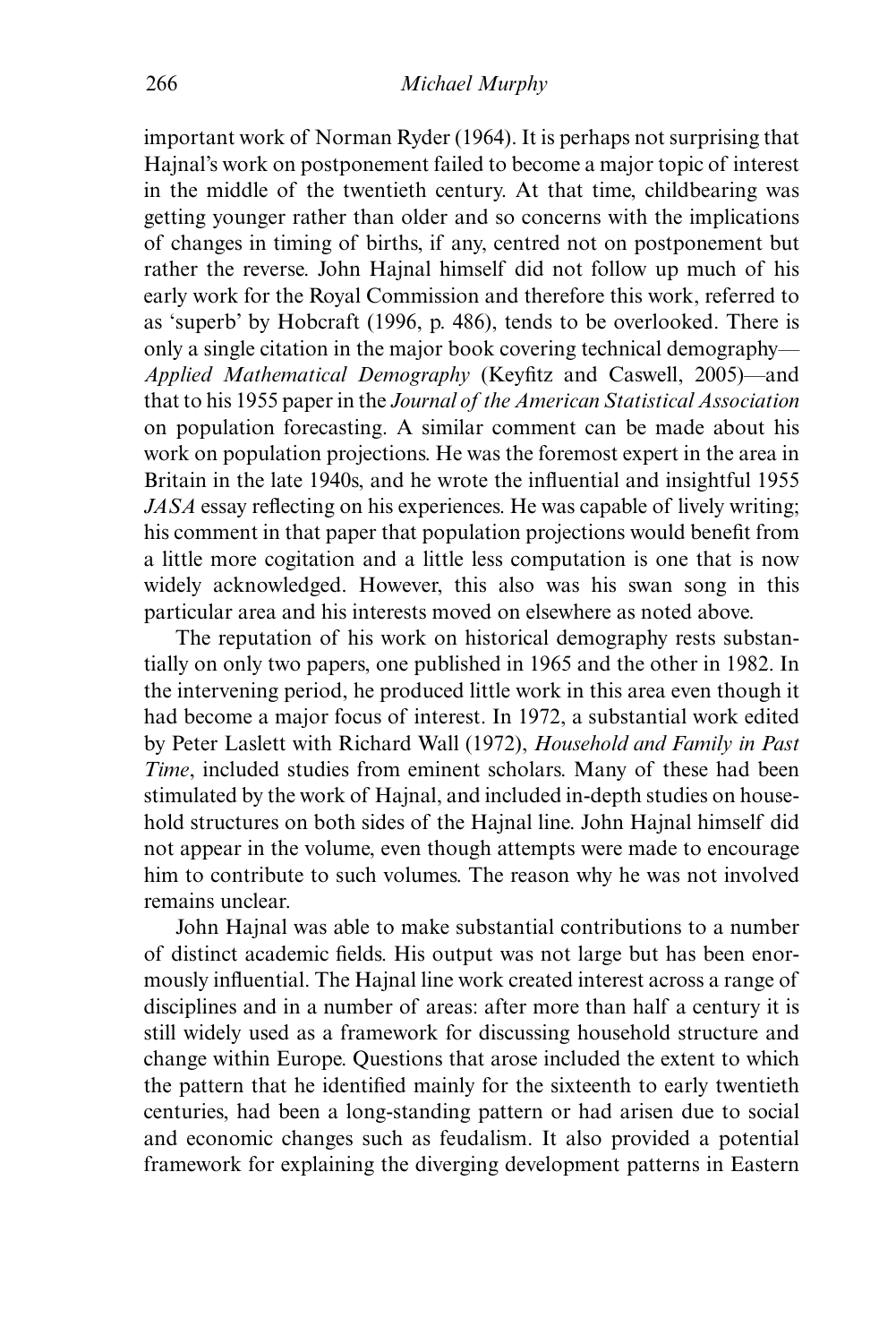important work of Norman Ryder (1964). It is perhaps not surprising that Hajnal's work on postponement failed to become a major topic of interest in the middle of the twentieth century. At that time, childbearing was getting younger rather than older and so concerns with the implications of changes in timing of births, if any, centred not on postponement but rather the reverse. John Hajnal himself did not follow up much of his early work for the Royal Commission and therefore this work, referred to as 'superb' by Hobcraft (1996, p. 486), tends to be overlooked. There is only a single citation in the major book covering technical demography— *Applied Mathematical Demography* (Keyfitz and Caswell, 2005)—and that to his 1955 paper in the *Journal of the American Statistical Association* on population forecasting. A similar comment can be made about his work on population projections. He was the foremost expert in the area in Britain in the late 1940s, and he wrote the influential and insightful 1955 *JASA* essay reflecting on his experiences. He was capable of lively writing; his comment in that paper that population projections would benefit from a little more cogitation and a little less computation is one that is now widely acknowledged. However, this also was his swan song in this particular area and his interests moved on elsewhere as noted above.

The reputation of his work on historical demography rests substantially on only two papers, one published in 1965 and the other in 1982. In the intervening period, he produced little work in this area even though it had become a major focus of interest. In 1972, a substantial work edited by Peter Laslett with Richard Wall (1972), *Household and Family in Past Time*, included studies from eminent scholars. Many of these had been stimulated by the work of Hajnal, and included in-depth studies on household structures on both sides of the Hajnal line. John Hajnal himself did not appear in the volume, even though attempts were made to encourage him to contribute to such volumes. The reason why he was not involved remains unclear.

John Hajnal was able to make substantial contributions to a number of distinct academic fields. His output was not large but has been enormously influential. The Hajnal line work created interest across a range of disciplines and in a number of areas: after more than half a century it is still widely used as a framework for discussing household structure and change within Europe. Questions that arose included the extent to which the pattern that he identified mainly for the sixteenth to early twentieth centuries, had been a long-standing pattern or had arisen due to social and economic changes such as feudalism. It also provided a potential framework for explaining the diverging development patterns in Eastern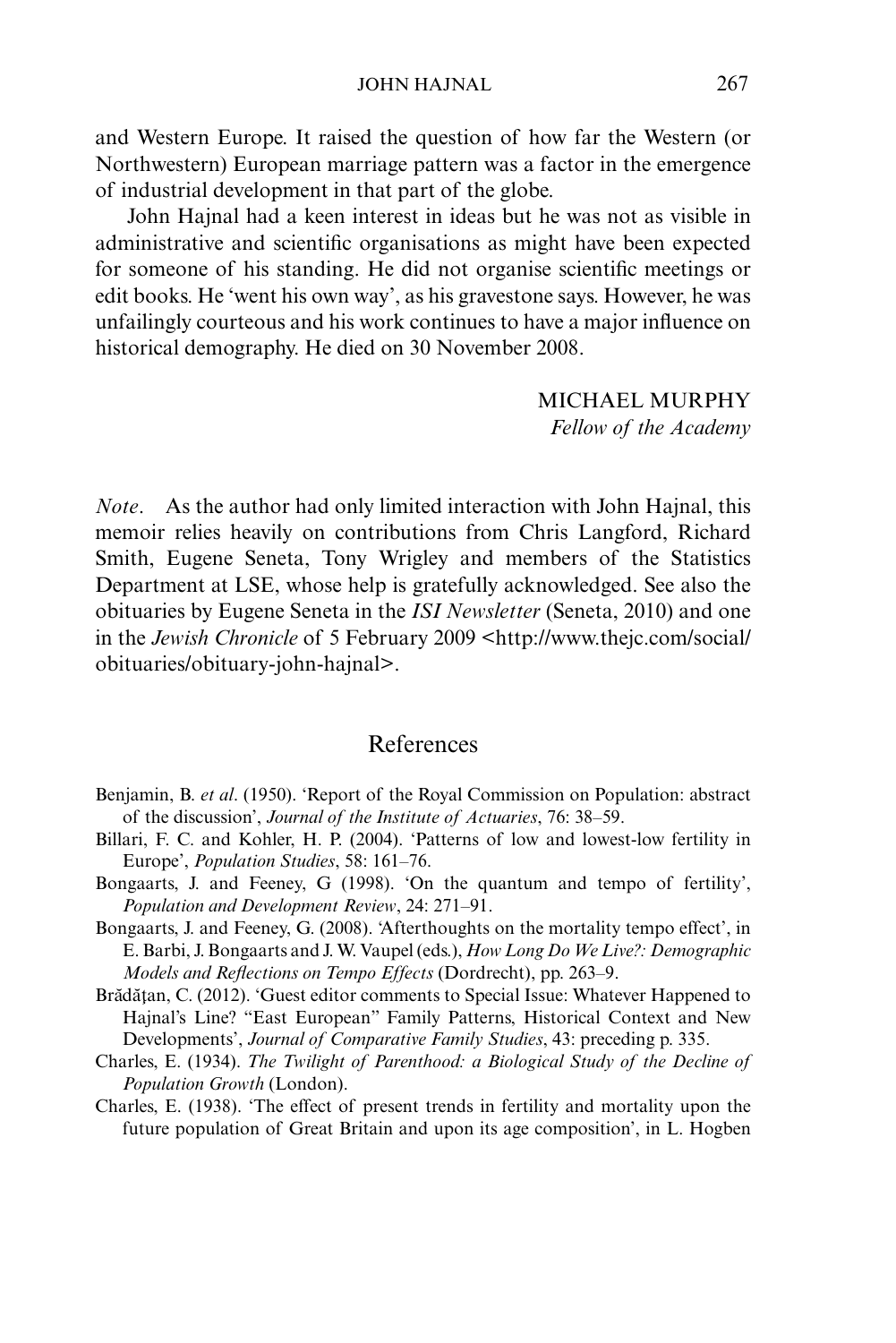and Western Europe. It raised the question of how far the Western (or Northwestern) European marriage pattern was a factor in the emergence of industrial development in that part of the globe.

John Hajnal had a keen interest in ideas but he was not as visible in administrative and scientific organisations as might have been expected for someone of his standing. He did not organise scientific meetings or edit books. He 'went his own way', as his gravestone says. However, he was unfailingly courteous and his work continues to have a major influence on historical demography. He died on 30 November 2008.

> MICHAEL MURPHY *Fellow of the Academy*

*Note*. As the author had only limited interaction with John Hajnal, this memoir relies heavily on contributions from Chris Langford, Richard Smith, Eugene Seneta, Tony Wrigley and members of the Statistics Department at LSE, whose help is gratefully acknowledged. See also the obituaries by Eugene Seneta in the *ISI Newsletter* (Seneta, 2010) and one in the *Jewish Chronicle* of 5 February 2009 <http://www.thejc.com/social/ obituaries/obituary-john-hajnal>.

## References

- Benjamin, B. *et al*. (1950). 'Report of the Royal Commission on Population: abstract of the discussion', *Journal of the Institute of Actuaries*, 76: 38–59.
- Billari, F. C. and Kohler, H. P. (2004). 'Patterns of low and lowest-low fertility in Europe', *Population Studies*, 58: 161–76.
- Bongaarts, J. and Feeney, G (1998). 'On the quantum and tempo of fertility', *Population and Development Review*, 24: 271–91.
- Bongaarts, J. and Feeney, G. (2008). 'Afterthoughts on the mortality tempo effect', in E. Barbi, J. Bongaarts and J. W. Vaupel (eds.), *How Long Do We Live?: Demographic Models and Reflections on Tempo Effects* (Dordrecht), pp. 263–9.
- Brădățan, C. (2012). 'Guest editor comments to Special Issue: Whatever Happened to Hajnal's Line? "East European" Family Patterns, Historical Context and New Developments', *Journal of Comparative Family Studies*, 43: preceding p. 335.
- Charles, E. (1934). *The Twilight of Parenthood: a Biological Study of the Decline of Population Growth* (London).
- Charles, E. (1938). 'The effect of present trends in fertility and mortality upon the future population of Great Britain and upon its age composition', in L. Hogben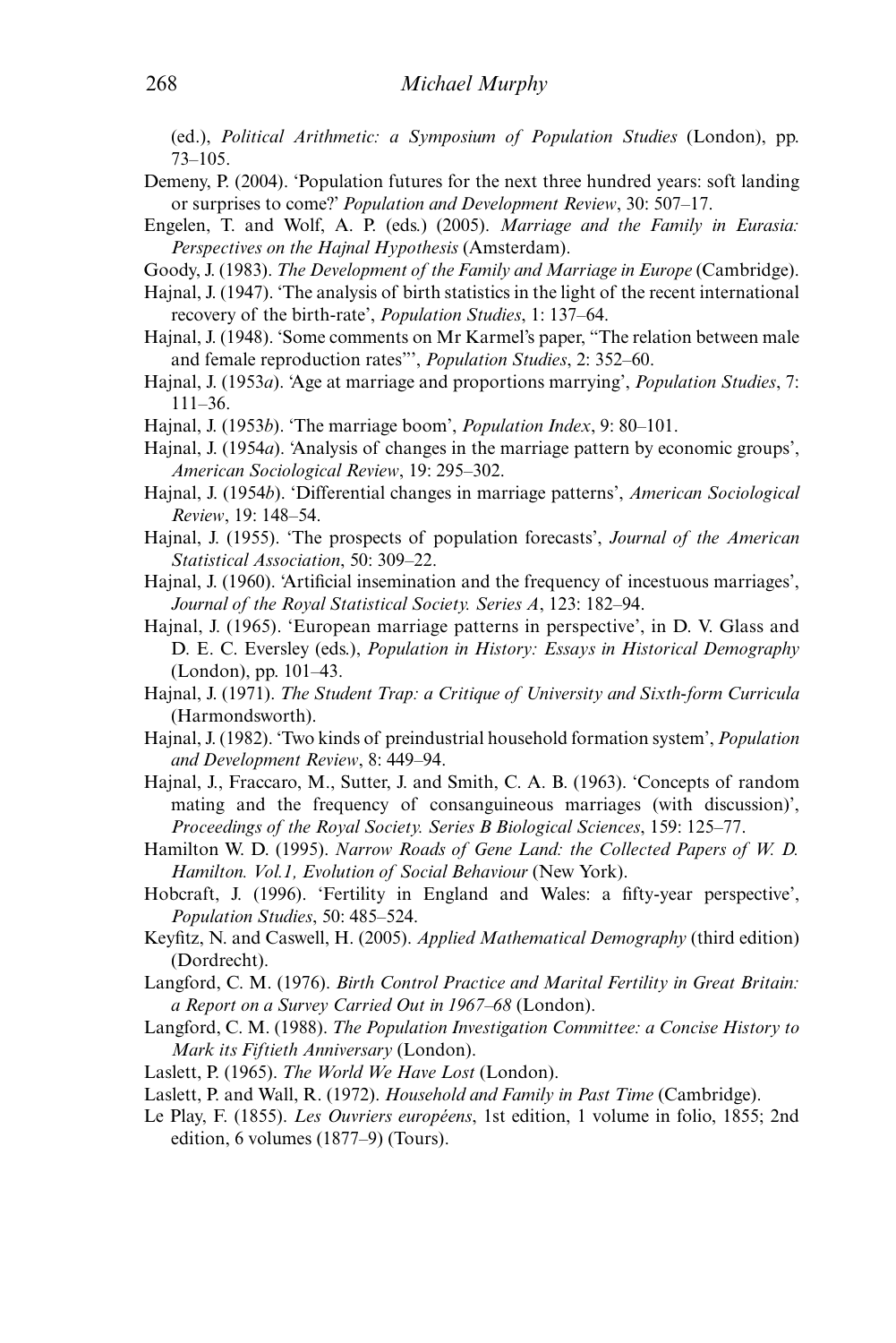(ed.), *Political Arithmetic: a Symposium of Population Studies* (London), pp. 73–105.

- Demeny, P. (2004). 'Population futures for the next three hundred years: soft landing or surprises to come?' *Population and Development Review*, 30: 507–17.
- Engelen, T. and Wolf, A. P. (eds.) (2005). *Marriage and the Family in Eurasia: Perspectives on the Hajnal Hypothesis* (Amsterdam).

Goody, J. (1983). *The Development of the Family and Marriage in Europe* (Cambridge).

- Hajnal, J. (1947). 'The analysis of birth statistics in the light of the recent international recovery of the birth-rate', *Population Studies*, 1: 137–64.
- Hajnal, J. (1948). 'Some comments on Mr Karmel's paper, "The relation between male and female reproduction rates"', *Population Studies*, 2: 352–60.
- Hajnal, J. (1953*a*). 'Age at marriage and proportions marrying', *Population Studies*, 7: 111–36.
- Hajnal, J. (1953*b*). 'The marriage boom', *Population Index*, 9: 80–101.
- Hajnal, J. (1954*a*). 'Analysis of changes in the marriage pattern by economic groups', *American Sociological Review*, 19: 295–302.
- Hajnal, J. (1954*b*). 'Differential changes in marriage patterns', *American Sociological Review*, 19: 148–54.
- Hajnal, J. (1955). 'The prospects of population forecasts', *Journal of the American Statistical Association*, 50: 309–22.
- Hajnal, J. (1960). 'Artificial insemination and the frequency of incestuous marriages', *Journal of the Royal Statistical Society. Series A*, 123: 182–94.
- Hajnal, J. (1965). 'European marriage patterns in perspective', in D. V. Glass and D. E. C. Eversley (eds.), *Population in History: Essays in Historical Demography* (London), pp. 101–43.
- Hajnal, J. (1971). *The Student Trap: a Critique of University and Sixth-form Curricula* (Harmondsworth).
- Hajnal, J. (1982). 'Two kinds of preindustrial household formation system', *Population and Development Review*, 8: 449–94.
- Hajnal, J., Fraccaro, M., Sutter, J. and Smith, C. A. B. (1963). 'Concepts of random mating and the frequency of consanguineous marriages (with discussion)', *Proceedings of the Royal Society. Series B Biological Sciences*, 159: 125–77.
- Hamilton W. D. (1995). *Narrow Roads of Gene Land: the Collected Papers of W. D. Hamilton. Vol.1, Evolution of Social Behaviour* (New York).
- Hobcraft, J. (1996). 'Fertility in England and Wales: a fifty-year perspective', *Population Studies*, 50: 485–524.
- Keyfitz, N. and Caswell, H. (2005). *Applied Mathematical Demography* (third edition) (Dordrecht).
- Langford, C. M. (1976). *Birth Control Practice and Marital Fertility in Great Britain: a Report on a Survey Carried Out in 1967–68* (London).
- Langford, C. M. (1988). *The Population Investigation Committee: a Concise History to Mark its Fiftieth Anniversary* (London).
- Laslett, P. (1965). *The World We Have Lost* (London).
- Laslett, P. and Wall, R. (1972). *Household and Family in Past Time* (Cambridge).
- Le Play, F. (1855). *Les Ouvriers européens*, 1st edition, 1 volume in folio, 1855; 2nd edition, 6 volumes (1877–9) (Tours).